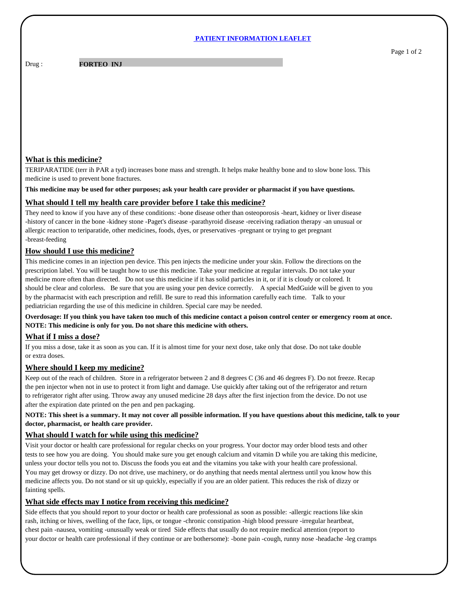#### **PATIENT INFORMATION LEAFLET**

Drug :

**FORTEO INJ** 

## **What is this medicine?**

TERIPARATIDE (terr ih PAR a tyd) increases bone mass and strength. It helps make healthy bone and to slow bone loss. This medicine is used to prevent bone fractures.

**This medicine may be used for other purposes; ask your health care provider or pharmacist if you have questions.**

### **What should I tell my health care provider before I take this medicine?**

They need to know if you have any of these conditions: -bone disease other than osteoporosis -heart, kidney or liver disease -history of cancer in the bone -kidney stone -Paget's disease -parathyroid disease -receiving radiation therapy -an unusual or allergic reaction to teriparatide, other medicines, foods, dyes, or preservatives -pregnant or trying to get pregnant -breast-feeding

## **How should I use this medicine?**

This medicine comes in an injection pen device. This pen injects the medicine under your skin. Follow the directions on the prescription label. You will be taught how to use this medicine. Take your medicine at regular intervals. Do not take your medicine more often than directed. Do not use this medicine if it has solid particles in it, or if it is cloudy or colored. It should be clear and colorless. Be sure that you are using your pen device correctly. A special MedGuide will be given to you by the pharmacist with each prescription and refill. Be sure to read this information carefully each time. Talk to your pediatrician regarding the use of this medicine in children. Special care may be needed.

**Overdosage: If you think you have taken too much of this medicine contact a poison control center or emergency room at once. NOTE: This medicine is only for you. Do not share this medicine with others.**

### **What if I miss a dose?**

If you miss a dose, take it as soon as you can. If it is almost time for your next dose, take only that dose. Do not take double or extra doses.

### **Where should I keep my medicine?**

Keep out of the reach of children. Store in a refrigerator between 2 and 8 degrees C (36 and 46 degrees F). Do not freeze. Recap the pen injector when not in use to protect it from light and damage. Use quickly after taking out of the refrigerator and return to refrigerator right after using. Throw away any unused medicine 28 days after the first injection from the device. Do not use after the expiration date printed on the pen and pen packaging.

**NOTE: This sheet is a summary. It may not cover all possible information. If you have questions about this medicine, talk to your doctor, pharmacist, or health care provider.**

# **What should I watch for while using this medicine?**

Visit your doctor or health care professional for regular checks on your progress. Your doctor may order blood tests and other tests to see how you are doing. You should make sure you get enough calcium and vitamin D while you are taking this medicine, unless your doctor tells you not to. Discuss the foods you eat and the vitamins you take with your health care professional. You may get drowsy or dizzy. Do not drive, use machinery, or do anything that needs mental alertness until you know how this medicine affects you. Do not stand or sit up quickly, especially if you are an older patient. This reduces the risk of dizzy or fainting spells.

# **What side effects may I notice from receiving this medicine?**

Side effects that you should report to your doctor or health care professional as soon as possible: -allergic reactions like skin rash, itching or hives, swelling of the face, lips, or tongue -chronic constipation -high blood pressure -irregular heartbeat, chest pain -nausea, vomiting -unusually weak or tired Side effects that usually do not require medical attention (report to your doctor or health care professional if they continue or are bothersome): -bone pain -cough, runny nose -headache -leg cramps Page 1 of 2